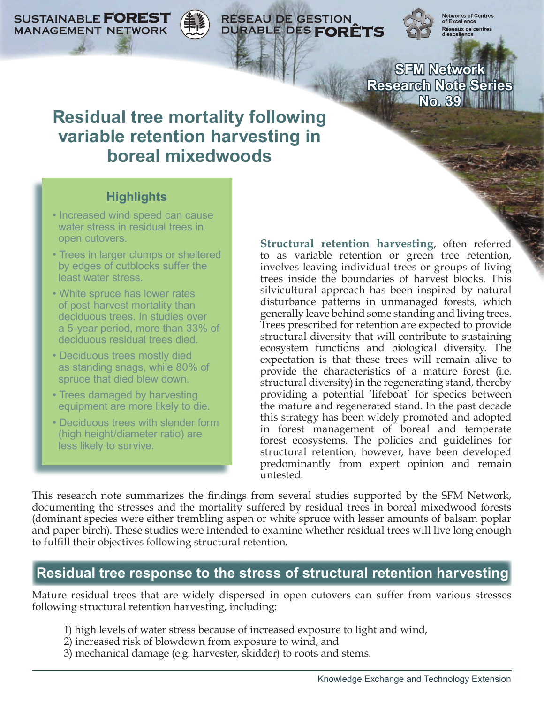**SUSTAINABLE FOREST MANAGEMENT NETWORK** 

**RÉSEAU DE GESTION** DURABLE DES FORÊTS

Networks of Centre<br>of Excellence Réseaux de centres

**SFM Network Research Note Series No. 39**

# **Residual tree mortality following variable retention harvesting in boreal mixedwoods**

## **Highlights**

- Increased wind speed can cause water stress in residual trees in open cutovers.
- Trees in larger clumps or sheltered by edges of cutblocks suffer the least water stress.
- White spruce has lower rates of post-harvest mortality than deciduous trees. In studies over a 5-year period, more than 33% of deciduous residual trees died.
- Deciduous trees mostly died as standing snags, while 80% of spruce that died blew down.
- Trees damaged by harvesting equipment are more likely to die.
- Deciduous trees with slender form (high height/diameter ratio) are less likely to survive.

**Structural retention harvesting**, often referred to as variable retention or green tree retention, involves leaving individual trees or groups of living trees inside the boundaries of harvest blocks. This silvicultural approach has been inspired by natural disturbance patterns in unmanaged forests, which generally leave behind some standing and living trees. Trees prescribed for retention are expected to provide structural diversity that will contribute to sustaining ecosystem functions and biological diversity. The expectation is that these trees will remain alive to provide the characteristics of a mature forest (i.e. structural diversity) in the regenerating stand, thereby providing a potential 'lifeboat' for species between the mature and regenerated stand. In the past decade this strategy has been widely promoted and adopted in forest management of boreal and temperate forest ecosystems. The policies and guidelines for structural retention, however, have been developed predominantly from expert opinion and remain untested.

This research note summarizes the findings from several studies supported by the SFM Network, documenting the stresses and the mortality suffered by residual trees in boreal mixedwood forests (dominant species were either trembling aspen or white spruce with lesser amounts of balsam poplar and paper birch). These studies were intended to examine whether residual trees will live long enough to fulfill their objectives following structural retention.

# **Residual tree response to the stress of structural retention harvesting**

Mature residual trees that are widely dispersed in open cutovers can suffer from various stresses following structural retention harvesting, including:

- 1) high levels of water stress because of increased exposure to light and wind,
- 2) increased risk of blowdown from exposure to wind, and
- 3) mechanical damage (e.g. harvester, skidder) to roots and stems.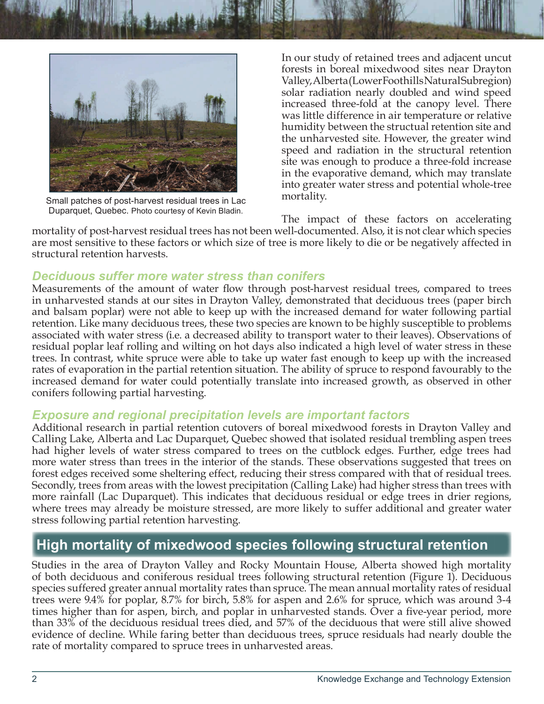



Small patches of post-harvest residual trees in Lac Duparquet, Quebec. Photo courtesy of Kevin Bladin.

In our study of retained trees and adjacent uncut forests in boreal mixedwood sites near Drayton Valley, Alberta (Lower Foothills Natural Subregion) solar radiation nearly doubled and wind speed increased three-fold at the canopy level. There was little difference in air temperature or relative humidity between the structual retention site and the unharvested site. However, the greater wind speed and radiation in the structural retention site was enough to produce a three-fold increase in the evaporative demand, which may translate into greater water stress and potential whole-tree mortality.

The impact of these factors on accelerating mortality of post-harvest residual trees has not been well-documented. Also, it is not clear which species are most sensitive to these factors or which size of tree is more likely to die or be negatively affected in structural retention harvests.

#### *Deciduous suffer more water stress than conifers*

Measurements of the amount of water flow through post-harvest residual trees, compared to trees in unharvested stands at our sites in Drayton Valley, demonstrated that deciduous trees (paper birch and balsam poplar) were not able to keep up with the increased demand for water following partial retention. Like many deciduous trees, these two species are known to be highly susceptible to problems associated with water stress (i.e. a decreased ability to transport water to their leaves). Observations of residual poplar leaf rolling and wilting on hot days also indicated a high level of water stress in these trees. In contrast, white spruce were able to take up water fast enough to keep up with the increased rates of evaporation in the partial retention situation. The ability of spruce to respond favourably to the increased demand for water could potentially translate into increased growth, as observed in other conifers following partial harvesting.

## *Exposure and regional precipitation levels are important factors*

Additional research in partial retention cutovers of boreal mixedwood forests in Drayton Valley and Calling Lake, Alberta and Lac Duparquet, Quebec showed that isolated residual trembling aspen trees had higher levels of water stress compared to trees on the cutblock edges. Further, edge trees had more water stress than trees in the interior of the stands. These observations suggested that trees on forest edges received some sheltering effect, reducing their stress compared with that of residual trees. Secondly, trees from areas with the lowest precipitation (Calling Lake) had higher stress than trees with more rainfall (Lac Duparquet). This indicates that deciduous residual or edge trees in drier regions, where trees may already be moisture stressed, are more likely to suffer additional and greater water stress following partial retention harvesting.

## **High mortality of mixedwood species following structural retention**

Studies in the area of Drayton Valley and Rocky Mountain House, Alberta showed high mortality of both deciduous and coniferous residual trees following structural retention (Figure 1). Deciduous species suffered greater annual mortality rates than spruce. The mean annual mortality rates of residual trees were 9.4% for poplar, 8.7% for birch, 5.8% for aspen and 2.6% for spruce, which was around 3-4 times higher than for aspen, birch, and poplar in unharvested stands. Over a five-year period, more than 33% of the deciduous residual trees died, and 57% of the deciduous that were still alive showed evidence of decline. While faring better than deciduous trees, spruce residuals had nearly double the rate of mortality compared to spruce trees in unharvested areas.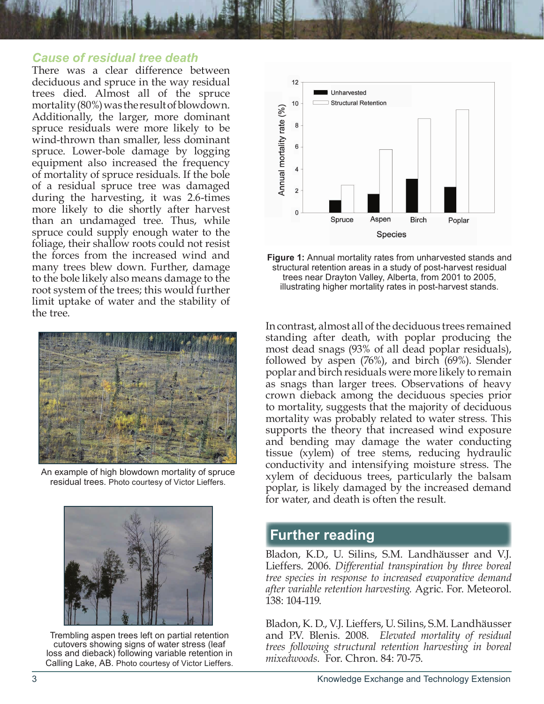#### *Cause of residual tree death*

There was a clear difference between deciduous and spruce in the way residual trees died. Almost all of the spruce mortality (80%) was the result of blowdown. Additionally, the larger, more dominant spruce residuals were more likely to be wind-thrown than smaller, less dominant spruce. Lower-bole damage by logging equipment also increased the frequency of mortality of spruce residuals. If the bole of a residual spruce tree was damaged during the harvesting, it was 2.6-times more likely to die shortly after harvest than an undamaged tree. Thus, while spruce could supply enough water to the foliage, their shallow roots could not resist the forces from the increased wind and many trees blew down. Further, damage to the bole likely also means damage to the root system of the trees; this would further limit uptake of water and the stability of the tree.



An example of high blowdown mortality of spruce residual trees. Photo courtesy of Victor Lieffers.



Trembling aspen trees left on partial retention cutovers showing signs of water stress (leaf loss and dieback) following variable retention in Calling Lake, AB. Photo courtesy of Victor Lieffers.



**Figure 1:** Annual mortality rates from unharvested stands and structural retention areas in a study of post-harvest residual trees near Drayton Valley, Alberta, from 2001 to 2005, illustrating higher mortality rates in post-harvest stands.

In contrast, almost all of the deciduous trees remained standing after death, with poplar producing the most dead snags (93% of all dead poplar residuals), followed by aspen (76%), and birch (69%). Slender poplar and birch residuals were more likely to remain as snags than larger trees. Observations of heavy crown dieback among the deciduous species prior to mortality, suggests that the majority of deciduous mortality was probably related to water stress. This supports the theory that increased wind exposure and bending may damage the water conducting tissue (xylem) of tree stems, reducing hydraulic conductivity and intensifying moisture stress. The xylem of deciduous trees, particularly the balsam poplar, is likely damaged by the increased demand for water, and death is often the result.

### **Further reading**

Bladon, K.D., U. Silins, S.M. Landhäusser and V.J. Lieffers. 2006. *Differential transpiration by three boreal tree species in response to increased evaporative demand after variable retention harvesting.* Agric. For. Meteorol. 138: 104-119.

Bladon, K. D., V.J. Lieffers, U. Silins, S.M. Landhäusser and P.V. Blenis. 2008. *Elevated mortality of residual trees following structural retention harvesting in boreal mixedwoods.* For. Chron. 84: 70-75.